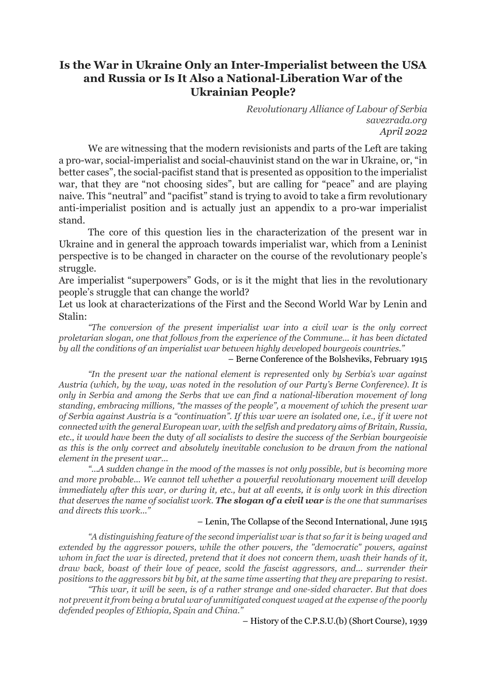## **Is the War in Ukraine Only an Inter-Imperialist between the USA and Russia or Is It Also a National-Liberation War of the Ukrainian People?**

*Revolutionary Alliance of Labour of Serbia savezrada.org April 2022*

We are witnessing that the modern revisionists and parts of the Left are taking a pro-war, social-imperialist and social-chauvinist stand on the war in Ukraine, or, "in better cases", the social-pacifist stand that is presented as opposition to the imperialist war, that they are "not choosing sides", but are calling for "peace" and are playing naive. This "neutral" and "pacifist" stand is trying to avoid to take a firm revolutionary anti-imperialist position and is actually just an appendix to a pro-war imperialist stand.

The core of this question lies in the characterization of the present war in Ukraine and in general the approach towards imperialist war, which from a Leninist perspective is to be changed in character on the course of the revolutionary people's struggle.

Are imperialist "superpowers" Gods, or is it the might that lies in the revolutionary people's struggle that can change the world?

Let us look at characterizations of the First and the Second World War by Lenin and Stalin:

*"The conversion of the present imperialist war into a civil war is the only correct proletarian slogan, one that follows from the experience of the Commune... it has been dictated by all the conditions of an imperialist war between highly developed bourgeois countries."*

### – Berne Conference of the Bolsheviks, February 1915

*"In the present war the national element is represented* only *by Serbia's war against Austria (which, by the way, was noted in the resolution of our Party's Berne Conference). It is only in Serbia and among the Serbs that we can find a national-liberation movement of long standing, embracing millions, "the masses of the people", a movement of which the present war of Serbia against Austria is a "continuation". If this war were an isolated one, i.e., if it were not connected with the general European war, with the selfish and predatory aims of Britain, Russia, etc., it would have been the* duty *of all socialists to desire the success of the Serbian bourgeoisie as this is the only correct and absolutely inevitable conclusion to be drawn from the national element in the present war...*

*"...A sudden change in the mood of the masses is not only possible, but is becoming more and more probable... We cannot tell whether a powerful revolutionary movement will develop immediately after this war, or during it, etc., but at all events, it is only work in this direction that deserves the name of socialist work. The slogan of a civil war is the one that summarises and directs this work..."*

### – Lenin, The Collapse of the Second International, June 1915

*"A distinguishing feature of the second imperialist war is that so far it is being waged and extended by the aggressor powers, while the other powers, the "democratic" powers, against whom in fact the war is directed, pretend that it does not concern them, wash their hands of it, draw back, boast of their love of peace, scold the fascist aggressors, and... surrender their positions to the aggressors bit by bit, at the same time asserting that they are preparing to resist.*

*"This war, it will be seen, is of a rather strange and one-sided character. But that does not prevent it from being a brutal war of unmitigated conquest waged at the expense of the poorly defended peoples of Ethiopia, Spain and China."*

– History of the C.P.S.U.(b) (Short Course), 1939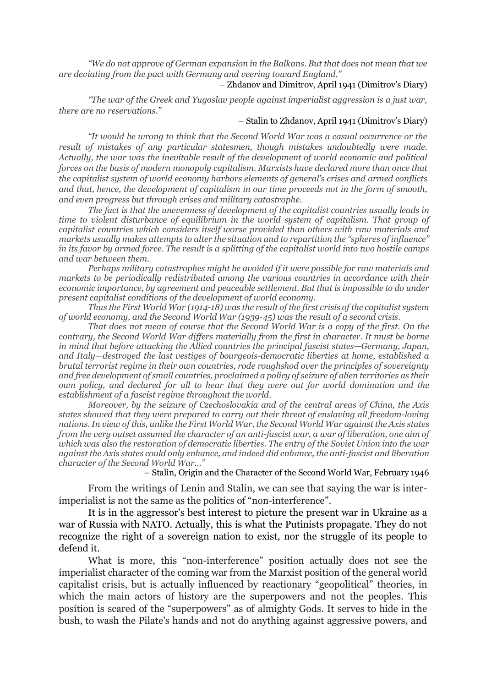*"We do not approve of German expansion in the Balkans. But that does not mean that we are deviating from the pact with Germany and veering toward England."*

### – Zhdanov and Dimitrov, April 1941 (Dimitrov's Diary)

*"The war of the Greek and Yugoslav people against imperialist aggression is a just war, there are no reservations."*

### – Stalin to Zhdanov, April 1941 (Dimitrov's Diary)

*"It would be wrong to think that the Second World War was a casual occurrence or the result of mistakes of any particular statesmen, though mistakes undoubtedly were made. Actually, the war was the inevitable result of the development of world economic and political forces on the basis of modern monopoly capitalism. Marxists have declared more than once that the capitalist system of world economy harbors elements of general's crises and armed conflicts and that, hence, the development of capitalism in our time proceeds not in the form of smooth, and even progress but through crises and military catastrophe.*

*The fact is that the unevenness of development of the capitalist countries usually leads in time to violent disturbance of equilibrium in the world system of capitalism. That group of capitalist countries which considers itself worse provided than others with raw materials and markets usually makes attempts to alter the situation and to repartition the "spheres of influence" in its favor by armed force. The result is a splitting of the capitalist world into two hostile camps and war between them.*

*Perhaps military catastrophes might be avoided if it were possible for raw materials and markets to be periodically redistributed among the various countries in accordance with their economic importance, by agreement and peaceable settlement. But that is impossible to do under present capitalist conditions of the development of world economy.*

*Thus the First World War (1914-18) was the result of the first crisis of the capitalist system of world economy, and the Second World War (1939-45) was the result of a second crisis.*

*That does not mean of course that the Second World War is a copy of the first. On the contrary, the Second World War differs materially from the first in character. It must be borne in mind that before attacking the Allied countries the principal fascist states—Germany, Japan, and Italy—destroyed the last vestiges of bourgeois-democratic liberties at home, established a brutal terrorist regime in their own countries, rode roughshod over the principles of sovereignty and free development of small countries, proclaimed a policy of seizure of alien territories as their own policy, and declared for all to hear that they were out for world domination and the establishment of a fascist regime throughout the world.*

*Moreover, by the seizure of Czechoslovakia and of the central areas of China, the Axis states showed that they were prepared to carry out their threat of enslaving all freedom-loving nations. In view of this, unlike the First World War, the Second World War against the Axis states from the very outset assumed the character of an anti-fascist war, a war of liberation, one aim of which was also the restoration of democratic liberties. The entry of the Soviet Union into the war against the Axis states could only enhance, and indeed did enhance, the anti-fascist and liberation character of the Second World War..."*

– Stalin, Origin and the Character of the Second World War, February 1946

From the writings of Lenin and Stalin, we can see that saying the war is interimperialist is not the same as the politics of "non-interference".

It is in the aggressor's best interest to picture the present war in Ukraine as a war of Russia with NATO. Actually, this is what the Putinists propagate. They do not recognize the right of a sovereign nation to exist, nor the struggle of its people to defend it.

What is more, this "non-interference" position actually does not see the imperialist character of the coming war from the Marxist position of the general world capitalist crisis, but is actually influenced by reactionary "geopolitical" theories, in which the main actors of history are the superpowers and not the peoples. This position is scared of the "superpowers" as of almighty Gods. It serves to hide in the bush, to wash the Pilate's hands and not do anything against aggressive powers, and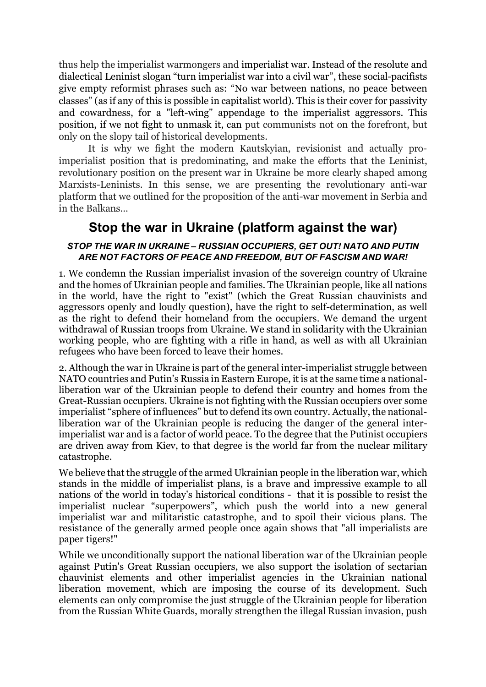thus help the imperialist warmongers and imperialist war. Instead of the resolute and dialectical Leninist slogan "turn imperialist war into a civil war", these social-pacifists give empty reformist phrases such as: "No war between nations, no peace between classes" (as if any of this is possible in capitalist world). This is their cover for passivity and cowardness, for a "left-wing" appendage to the imperialist aggressors. This position, if we not fight to unmask it, can put communists not on the forefront, but only on the slopy tail of historical developments.

It is why we fight the modern Kautskyian, revisionist and actually proimperialist position that is predominating, and make the efforts that the Leninist, revolutionary position on the present war in Ukraine be more clearly shaped among Marxists-Leninists. In this sense, we are presenting the revolutionary anti-war platform that we outlined for the proposition of the anti-war movement in Serbia and in the Balkans...

# **Stop the war in Ukraine (platform against the war)**

### *STOP THE WAR IN UKRAINE – RUSSIAN OCCUPIERS, GET OUT! NATO AND PUTIN ARE NOT FACTORS OF PEACE AND FREEDOM, BUT OF FASCISM AND WAR!*

1. We condemn the Russian imperialist invasion of the sovereign country of Ukraine and the homes of Ukrainian people and families. The Ukrainian people, like all nations in the world, have the right to "exist" (which the Great Russian chauvinists and aggressors openly and loudly question), have the right to self-determination, as well as the right to defend their homeland from the occupiers. We demand the urgent withdrawal of Russian troops from Ukraine. We stand in solidarity with the Ukrainian working people, who are fighting with a rifle in hand, as well as with all Ukrainian refugees who have been forced to leave their homes.

2. Although the war in Ukraine is part of the general inter-imperialist struggle between NATO countries and Putin's Russia in Eastern Europe, it is at the same time a nationalliberation war of the Ukrainian people to defend their country and homes from the Great-Russian occupiers. Ukraine is not fighting with the Russian occupiers over some imperialist "sphere of influences" but to defend its own country. Actually, the nationalliberation war of the Ukrainian people is reducing the danger of the general interimperialist war and is a factor of world peace. To the degree that the Putinist occupiers are driven away from Kiev, to that degree is the world far from the nuclear military catastrophe.

We believe that the struggle of the armed Ukrainian people in the liberation war, which stands in the middle of imperialist plans, is a brave and impressive example to all nations of the world in today's historical conditions - that it is possible to resist the imperialist nuclear "superpowers", which push the world into a new general imperialist war and militaristic catastrophe, and to spoil their vicious plans. The resistance of the generally armed people once again shows that "all imperialists are paper tigers!"

While we unconditionally support the national liberation war of the Ukrainian people against Putin's Great Russian occupiers, we also support the isolation of sectarian chauvinist elements and other imperialist agencies in the Ukrainian national liberation movement, which are imposing the course of its development. Such elements can only compromise the just struggle of the Ukrainian people for liberation from the Russian White Guards, morally strengthen the illegal Russian invasion, push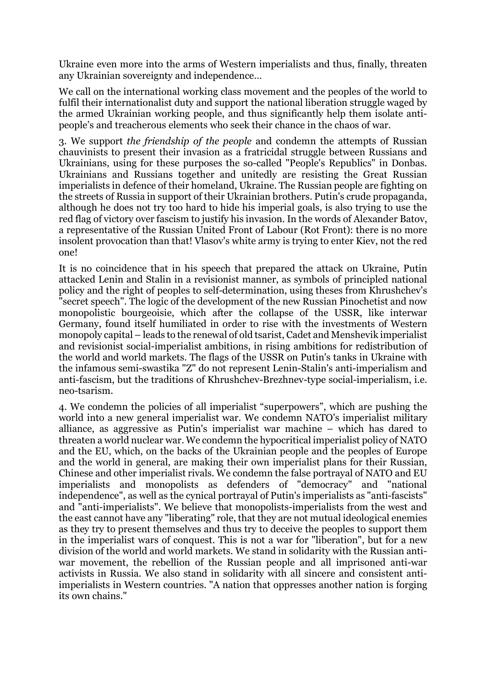Ukraine even more into the arms of Western imperialists and thus, finally, threaten any Ukrainian sovereignty and independence…

We call on the international working class movement and the peoples of the world to fulfil their internationalist duty and support the national liberation struggle waged by the armed Ukrainian working people, and thus significantly help them isolate antipeople's and treacherous elements who seek their chance in the chaos of war.

3. We support *the friendship of the people* and condemn the attempts of Russian chauvinists to present their invasion as a fratricidal struggle between Russians and Ukrainians, using for these purposes the so-called "People's Republics" in Donbas. Ukrainians and Russians together and unitedly are resisting the Great Russian imperialists in defence of their homeland, Ukraine. The Russian people are fighting on the streets of Russia in support of their Ukrainian brothers. Putin's crude propaganda, although he does not try too hard to hide his imperial goals, is also trying to use the red flag of victory over fascism to justify his invasion. In the words of Alexander Batov, a representative of the Russian United Front of Labour (Rot Front): there is no more insolent provocation than that! Vlasov's white army is trying to enter Kiev, not the red one!

It is no coincidence that in his speech that prepared the attack on Ukraine, Putin attacked Lenin and Stalin in a revisionist manner, as symbols of principled national policy and the right of peoples to self-determination, using theses from Khrushchev's "secret speech". The logic of the development of the new Russian Pinochetist and now monopolistic bourgeoisie, which after the collapse of the USSR, like interwar Germany, found itself humiliated in order to rise with the investments of Western monopoly capital – leads to the renewal of old tsarist, Cadet and Menshevik imperialist and revisionist social-imperialist ambitions, in rising ambitions for redistribution of the world and world markets. The flags of the USSR on Putin's tanks in Ukraine with the infamous semi-swastika "Z" do not represent Lenin-Stalin's anti-imperialism and anti-fascism, but the traditions of Khrushchev-Brezhnev-type social-imperialism, i.e. neo-tsarism.

4. We condemn the policies of all imperialist "superpowers", which are pushing the world into a new general imperialist war. We condemn NATO's imperialist military alliance, as aggressive as Putin's imperialist war machine – which has dared to threaten a world nuclear war. We condemn the hypocritical imperialist policy of NATO and the EU, which, on the backs of the Ukrainian people and the peoples of Europe and the world in general, are making their own imperialist plans for their Russian, Chinese and other imperialist rivals. We condemn the false portrayal of NATO and EU imperialists and monopolists as defenders of "democracy" and "national independence", as well as the cynical portrayal of Putin's imperialists as "anti-fascists" and "anti-imperialists". We believe that monopolists-imperialists from the west and the east cannot have any "liberating" role, that they are not mutual ideological enemies as they try to present themselves and thus try to deceive the peoples to support them in the imperialist wars of conquest. This is not a war for "liberation", but for a new division of the world and world markets. We stand in solidarity with the Russian antiwar movement, the rebellion of the Russian people and all imprisoned anti-war activists in Russia. We also stand in solidarity with all sincere and consistent antiimperialists in Western countries. "A nation that oppresses another nation is forging its own chains."